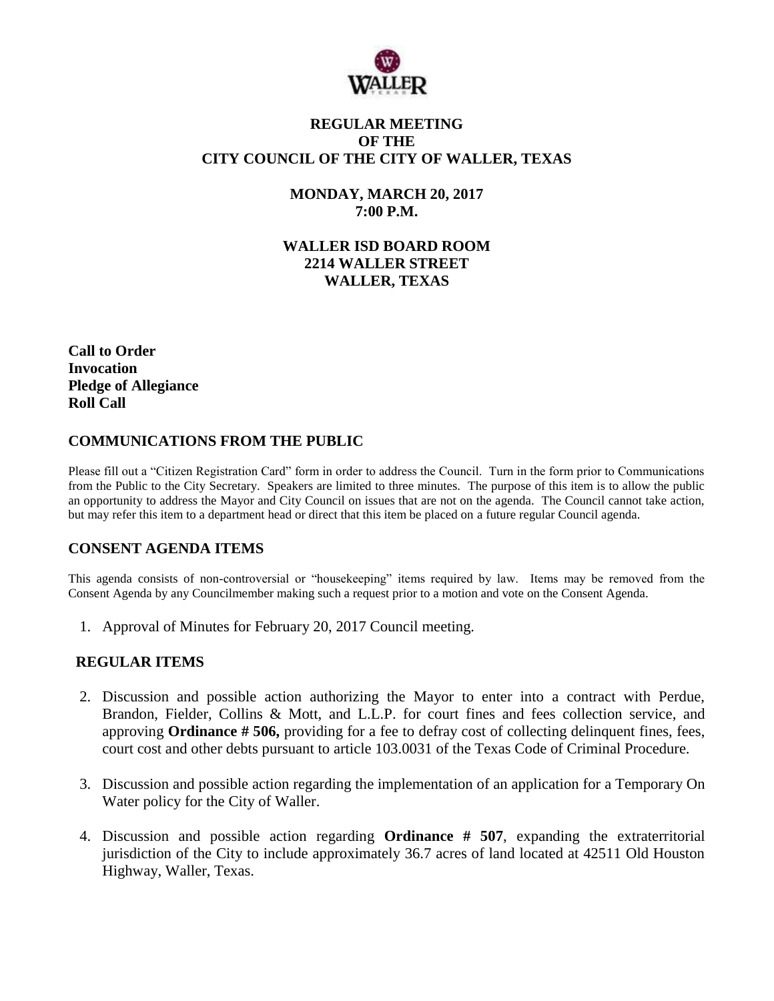

## **REGULAR MEETING OF THE CITY COUNCIL OF THE CITY OF WALLER, TEXAS**

**MONDAY, MARCH 20, 2017 7:00 P.M.**

**WALLER ISD BOARD ROOM 2214 WALLER STREET WALLER, TEXAS**

**Call to Order Invocation Pledge of Allegiance Roll Call**

#### **COMMUNICATIONS FROM THE PUBLIC**

Please fill out a "Citizen Registration Card" form in order to address the Council. Turn in the form prior to Communications from the Public to the City Secretary. Speakers are limited to three minutes. The purpose of this item is to allow the public an opportunity to address the Mayor and City Council on issues that are not on the agenda. The Council cannot take action, but may refer this item to a department head or direct that this item be placed on a future regular Council agenda.

#### **CONSENT AGENDA ITEMS**

This agenda consists of non-controversial or "housekeeping" items required by law. Items may be removed from the Consent Agenda by any Councilmember making such a request prior to a motion and vote on the Consent Agenda.

1. Approval of Minutes for February 20, 2017 Council meeting.

# **REGULAR ITEMS**

- 2. Discussion and possible action authorizing the Mayor to enter into a contract with Perdue, Brandon, Fielder, Collins & Mott, and L.L.P. for court fines and fees collection service, and approving **Ordinance # 506,** providing for a fee to defray cost of collecting delinquent fines, fees, court cost and other debts pursuant to article 103.0031 of the Texas Code of Criminal Procedure.
- 3. Discussion and possible action regarding the implementation of an application for a Temporary On Water policy for the City of Waller.
- 4. Discussion and possible action regarding **Ordinance # 507**, expanding the extraterritorial jurisdiction of the City to include approximately 36.7 acres of land located at 42511 Old Houston Highway, Waller, Texas.